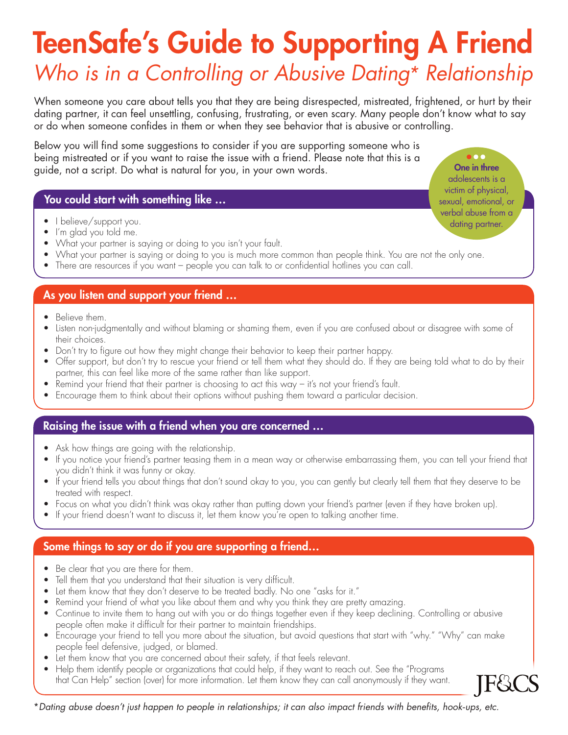# TeenSafe's Guide to Supporting A Friend

## *Who is in a Controlling or Abusive Dating\* Relationship*

When someone you care about tells you that they are being disrespected, mistreated, frightened, or hurt by their dating partner, it can feel unsettling, confusing, frustrating, or even scary. Many people don't know what to say or do when someone confides in them or when they see behavior that is abusive or controlling.

Below you will find some suggestions to consider if you are supporting someone who is being mistreated or if you want to raise the issue with a friend. Please note that this is a guide, not a script. Do what is natural for you, in your own words.

### You could start with something like …

- I believe/support you.
- I'm glad you told me.
- What your partner is saying or doing to you isn't your fault.
- What your partner is saying or doing to you is much more common than people think. You are not the only one.
- There are resources if you want people you can talk to or confidential hotlines you can call.

### As you listen and support your friend …

- Believe them.
- Listen non-judgmentally and without blaming or shaming them, even if you are confused about or disagree with some of their choices.
- Don't try to figure out how they might change their behavior to keep their partner happy.
- Offer support, but don't try to rescue your friend or tell them what they should do. If they are being told what to do by their partner, this can feel like more of the same rather than like support.
- Remind your friend that their partner is choosing to act this way it's not your friend's fault.
- Encourage them to think about their options without pushing them toward a particular decision.

### Raising the issue with a friend when you are concerned …

- Ask how things are going with the relationship.
- If you notice your friend's partner teasing them in a mean way or otherwise embarrassing them, you can tell your friend that you didn't think it was funny or okay.
- If your friend tells you about things that don't sound okay to you, you can gently but clearly tell them that they deserve to be treated with respect.
- Focus on what you didn't think was okay rather than putting down your friend's partner (even if they have broken up).
- If your friend doesn't want to discuss it, let them know you're open to talking another time.

### Some things to say or do if you are supporting a friend…

- Be clear that you are there for them.
- Tell them that you understand that their situation is very difficult.
- Let them know that they don't deserve to be treated badly. No one "asks for it."
- Remind your friend of what you like about them and why you think they are pretty amazing.
- Continue to invite them to hang out with you or do things together even if they keep declining. Controlling or abusive people often make it difficult for their partner to maintain friendships.
- Encourage your friend to tell you more about the situation, but avoid questions that start with "why." "Why" can make people feel defensive, judged, or blamed.
- Let them know that you are concerned about their safety, if that feels relevant.
- Help them identify people or organizations that could help, if they want to reach out. See the "Programs that Can Help" section (over) for more information. Let them know they can call anonymously if they want.

\**Dating abuse doesn't just happen to people in relationships; it can also impact friends with benefits, hook-ups, etc.*

One in three adolescents is a victim of physical, sexual, emotional, or verbal abuse from a dating partner.

 $000$